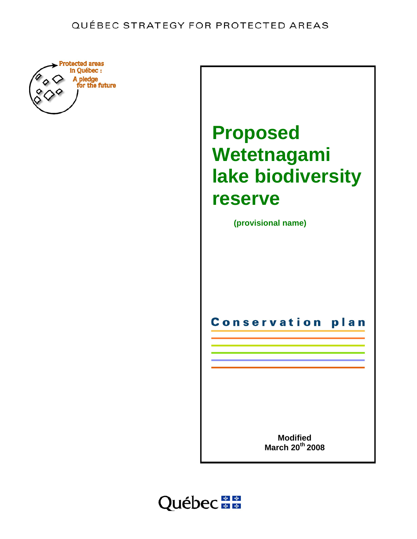

# **Proposed Wetetnagami lake biodiversity reserve**

 **(provisional name)** 

**Conservation** plan

> **Modified March 20th 2008**

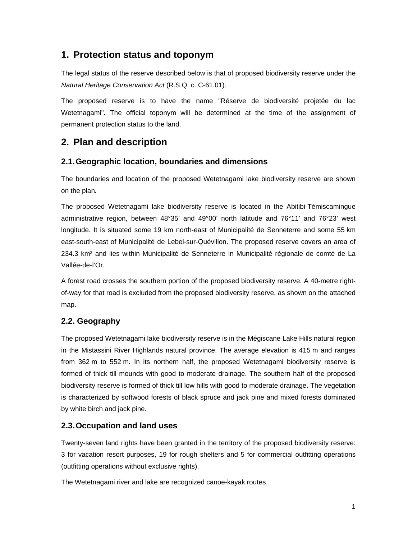## **1. Protection status and toponym**

The legal status of the reserve described below is that of proposed biodiversity reserve under the *Natural Heritage Conservation Act* (R.S.Q. c. C-61.01).

The proposed reserve is to have the name "Réserve de biodiversité projetée du lac Wetetnagami". The official toponym will be determined at the time of the assignment of permanent protection status to the land.

## **2. Plan and description**

### **2.1. Geographic location, boundaries and dimensions**

The boundaries and location of the proposed Wetetnagami lake biodiversity reserve are shown on the plan*.*

The proposed Wetetnagami lake biodiversity reserve is located in the Abitibi-Témiscamingue administrative region, between 48°35' and 49°00' north latitude and 76°11' and 76°23' west longitude. It is situated some 19 km north-east of Municipalité de Senneterre and some 55 km east-south-east of Municipalité de Lebel-sur-Quévillon. The proposed reserve covers an area of 234.3 km² and lies within Municipalité de Senneterre in Municipalité régionale de comté de La Vallée-de-l'Or.

A forest road crosses the southern portion of the proposed biodiversity reserve. A 40-metre rightof-way for that road is excluded from the proposed biodiversity reserve, as shown on the attached map.

## **2.2. Geography**

The proposed Wetetnagami lake biodiversity reserve is in the Mégiscane Lake Hills natural region in the Mistassini River Highlands natural province. The average elevation is 415 m and ranges from 362 m to 552 m. In its northern half, the proposed Wetetnagami biodiversity reserve is formed of thick till mounds with good to moderate drainage. The southern half of the proposed biodiversity reserve is formed of thick till low hills with good to moderate drainage. The vegetation is characterized by softwood forests of black spruce and jack pine and mixed forests dominated by white birch and jack pine.

## **2.3. Occupation and land uses**

Twenty-seven land rights have been granted in the territory of the proposed biodiversity reserve: 3 for vacation resort purposes, 19 for rough shelters and 5 for commercial outfitting operations (outfitting operations without exclusive rights).

The Wetetnagami river and lake are recognized canoe-kayak routes.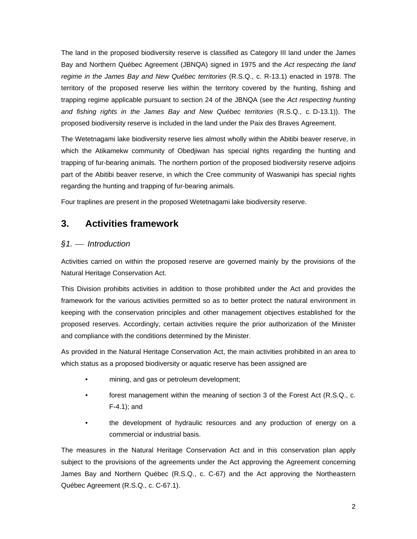The land in the proposed biodiversity reserve is classified as Category III land under the James Bay and Northern Québec Agreement (JBNQA) signed in 1975 and the *Act respecting the land regime in the James Bay and New Québec territories* (R.S.Q., c. R-13.1) enacted in 1978. The territory of the proposed reserve lies within the territory covered by the hunting, fishing and trapping regime applicable pursuant to section 24 of the JBNQA (see the *Act respecting hunting and fishing rights in the James Bay and New Québec territories* (R.S.Q., c. D-13.1)). The proposed biodiversity reserve is included in the land under the Paix des Braves Agreement.

The Wetetnagami lake biodiversity reserve lies almost wholly within the Abitibi beaver reserve, in which the Atikamekw community of Obedjiwan has special rights regarding the hunting and trapping of fur-bearing animals. The northern portion of the proposed biodiversity reserve adjoins part of the Abitibi beaver reserve, in which the Cree community of Waswanipi has special rights regarding the hunting and trapping of fur-bearing animals.

Four traplines are present in the proposed Wetetnagami lake biodiversity reserve.

## **3. Activities framework**

## *§1.* ⎯ *Introduction*

Activities carried on within the proposed reserve are governed mainly by the provisions of the Natural Heritage Conservation Act.

This Division prohibits activities in addition to those prohibited under the Act and provides the framework for the various activities permitted so as to better protect the natural environment in keeping with the conservation principles and other management objectives established for the proposed reserves. Accordingly, certain activities require the prior authorization of the Minister and compliance with the conditions determined by the Minister.

As provided in the Natural Heritage Conservation Act, the main activities prohibited in an area to which status as a proposed biodiversity or aquatic reserve has been assigned are

- mining, and gas or petroleum development;
- forest management within the meaning of section 3 of the Forest Act (R.S.Q., c. F-4.1); and
- the development of hydraulic resources and any production of energy on a commercial or industrial basis.

The measures in the Natural Heritage Conservation Act and in this conservation plan apply subject to the provisions of the agreements under the Act approving the Agreement concerning James Bay and Northern Québec (R.S.Q., c. C-67) and the Act approving the Northeastern Québec Agreement (R.S.Q., c. C-67.1).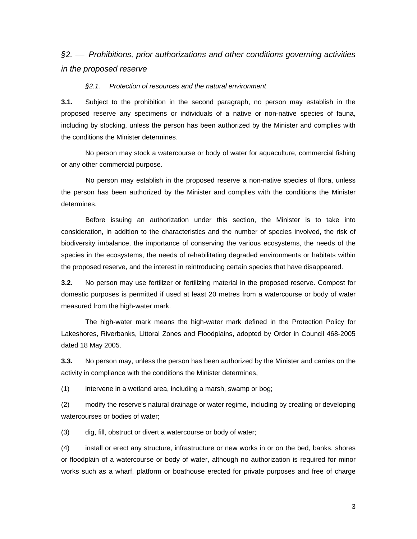## *§2.* ⎯ *Prohibitions, prior authorizations and other conditions governing activities in the proposed reserve*

#### *§2.1. Protection of resources and the natural environment*

**3.1.** Subject to the prohibition in the second paragraph, no person may establish in the proposed reserve any specimens or individuals of a native or non-native species of fauna, including by stocking, unless the person has been authorized by the Minister and complies with the conditions the Minister determines.

No person may stock a watercourse or body of water for aquaculture, commercial fishing or any other commercial purpose.

 No person may establish in the proposed reserve a non-native species of flora, unless the person has been authorized by the Minister and complies with the conditions the Minister determines.

Before issuing an authorization under this section, the Minister is to take into consideration, in addition to the characteristics and the number of species involved, the risk of biodiversity imbalance, the importance of conserving the various ecosystems, the needs of the species in the ecosystems, the needs of rehabilitating degraded environments or habitats within the proposed reserve, and the interest in reintroducing certain species that have disappeared.

**3.2.** No person may use fertilizer or fertilizing material in the proposed reserve. Compost for domestic purposes is permitted if used at least 20 metres from a watercourse or body of water measured from the high-water mark.

The high-water mark means the high-water mark defined in the Protection Policy for Lakeshores, Riverbanks, Littoral Zones and Floodplains, adopted by Order in Council 468-2005 dated 18 May 2005.

**3.3.** No person may, unless the person has been authorized by the Minister and carries on the activity in compliance with the conditions the Minister determines,

(1) intervene in a wetland area, including a marsh, swamp or bog;

(2) modify the reserve's natural drainage or water regime, including by creating or developing watercourses or bodies of water;

(3) dig, fill, obstruct or divert a watercourse or body of water;

(4) install or erect any structure, infrastructure or new works in or on the bed, banks, shores or floodplain of a watercourse or body of water, although no authorization is required for minor works such as a wharf, platform or boathouse erected for private purposes and free of charge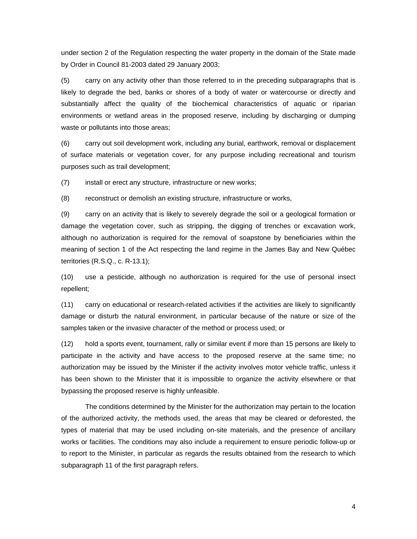under section 2 of the Regulation respecting the water property in the domain of the State made by Order in Council 81-2003 dated 29 January 2003;

(5) carry on any activity other than those referred to in the preceding subparagraphs that is likely to degrade the bed, banks or shores of a body of water or watercourse or directly and substantially affect the quality of the biochemical characteristics of aquatic or riparian environments or wetland areas in the proposed reserve, including by discharging or dumping waste or pollutants into those areas;

(6) carry out soil development work, including any burial, earthwork, removal or displacement of surface materials or vegetation cover, for any purpose including recreational and tourism purposes such as trail development;

(7) install or erect any structure, infrastructure or new works;

(8) reconstruct or demolish an existing structure, infrastructure or works,

(9) carry on an activity that is likely to severely degrade the soil or a geological formation or damage the vegetation cover, such as stripping, the digging of trenches or excavation work, although no authorization is required for the removal of soapstone by beneficiaries within the meaning of section 1 of the Act respecting the land regime in the James Bay and New Québec territories (R.S.Q., c. R-13.1);

(10) use a pesticide, although no authorization is required for the use of personal insect repellent;

(11) carry on educational or research-related activities if the activities are likely to significantly damage or disturb the natural environment, in particular because of the nature or size of the samples taken or the invasive character of the method or process used; or

(12) hold a sports event, tournament, rally or similar event if more than 15 persons are likely to participate in the activity and have access to the proposed reserve at the same time; no authorization may be issued by the Minister if the activity involves motor vehicle traffic, unless it has been shown to the Minister that it is impossible to organize the activity elsewhere or that bypassing the proposed reserve is highly unfeasible.

The conditions determined by the Minister for the authorization may pertain to the location of the authorized activity, the methods used, the areas that may be cleared or deforested, the types of material that may be used including on-site materials, and the presence of ancillary works or facilities. The conditions may also include a requirement to ensure periodic follow-up or to report to the Minister, in particular as regards the results obtained from the research to which subparagraph 11 of the first paragraph refers.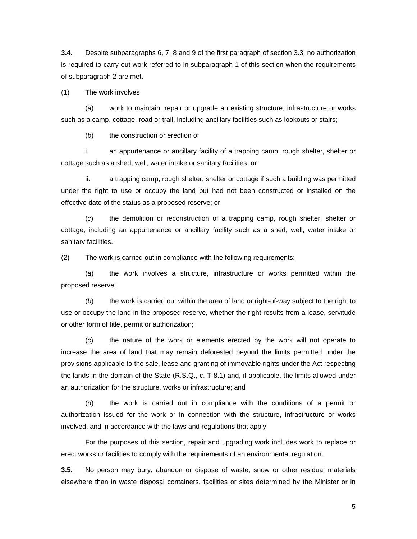**3.4.** Despite subparagraphs 6, 7, 8 and 9 of the first paragraph of section 3.3, no authorization is required to carry out work referred to in subparagraph 1 of this section when the requirements of subparagraph 2 are met.

(1) The work involves

(*a*) work to maintain, repair or upgrade an existing structure, infrastructure or works such as a camp, cottage, road or trail, including ancillary facilities such as lookouts or stairs;

(*b*) the construction or erection of

i. an appurtenance or ancillary facility of a trapping camp, rough shelter, shelter or cottage such as a shed, well, water intake or sanitary facilities; or

ii. a trapping camp, rough shelter, shelter or cottage if such a building was permitted under the right to use or occupy the land but had not been constructed or installed on the effective date of the status as a proposed reserve; or

(*c*) the demolition or reconstruction of a trapping camp, rough shelter, shelter or cottage, including an appurtenance or ancillary facility such as a shed, well, water intake or sanitary facilities.

(2) The work is carried out in compliance with the following requirements:

(*a*) the work involves a structure, infrastructure or works permitted within the proposed reserve;

(*b*) the work is carried out within the area of land or right-of-way subject to the right to use or occupy the land in the proposed reserve, whether the right results from a lease, servitude or other form of title, permit or authorization;

(*c*) the nature of the work or elements erected by the work will not operate to increase the area of land that may remain deforested beyond the limits permitted under the provisions applicable to the sale, lease and granting of immovable rights under the Act respecting the lands in the domain of the State (R.S.Q., c. T-8.1) and, if applicable, the limits allowed under an authorization for the structure, works or infrastructure; and

(*d*) the work is carried out in compliance with the conditions of a permit or authorization issued for the work or in connection with the structure, infrastructure or works involved, and in accordance with the laws and regulations that apply.

For the purposes of this section, repair and upgrading work includes work to replace or erect works or facilities to comply with the requirements of an environmental regulation.

**3.5.** No person may bury, abandon or dispose of waste, snow or other residual materials elsewhere than in waste disposal containers, facilities or sites determined by the Minister or in

5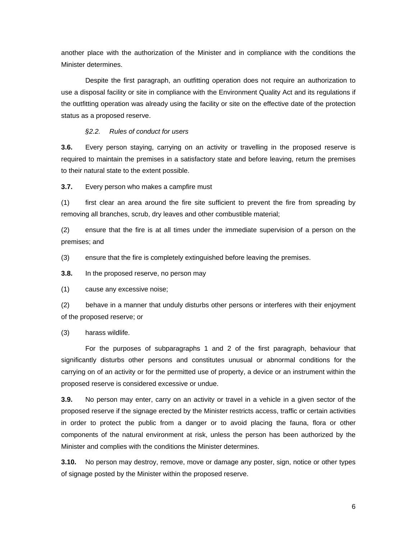another place with the authorization of the Minister and in compliance with the conditions the Minister determines.

Despite the first paragraph, an outfitting operation does not require an authorization to use a disposal facility or site in compliance with the Environment Quality Act and its regulations if the outfitting operation was already using the facility or site on the effective date of the protection status as a proposed reserve.

#### *§2.2. Rules of conduct for users*

**3.6.** Every person staying, carrying on an activity or travelling in the proposed reserve is required to maintain the premises in a satisfactory state and before leaving, return the premises to their natural state to the extent possible.

**3.7.** Every person who makes a campfire must

(1) first clear an area around the fire site sufficient to prevent the fire from spreading by removing all branches, scrub, dry leaves and other combustible material;

(2) ensure that the fire is at all times under the immediate supervision of a person on the premises; and

(3) ensure that the fire is completely extinguished before leaving the premises.

**3.8.** In the proposed reserve, no person may

(1) cause any excessive noise;

(2) behave in a manner that unduly disturbs other persons or interferes with their enjoyment of the proposed reserve; or

(3) harass wildlife.

For the purposes of subparagraphs 1 and 2 of the first paragraph, behaviour that significantly disturbs other persons and constitutes unusual or abnormal conditions for the carrying on of an activity or for the permitted use of property, a device or an instrument within the proposed reserve is considered excessive or undue.

**3.9.** No person may enter, carry on an activity or travel in a vehicle in a given sector of the proposed reserve if the signage erected by the Minister restricts access, traffic or certain activities in order to protect the public from a danger or to avoid placing the fauna, flora or other components of the natural environment at risk, unless the person has been authorized by the Minister and complies with the conditions the Minister determines.

**3.10.** No person may destroy, remove, move or damage any poster, sign, notice or other types of signage posted by the Minister within the proposed reserve.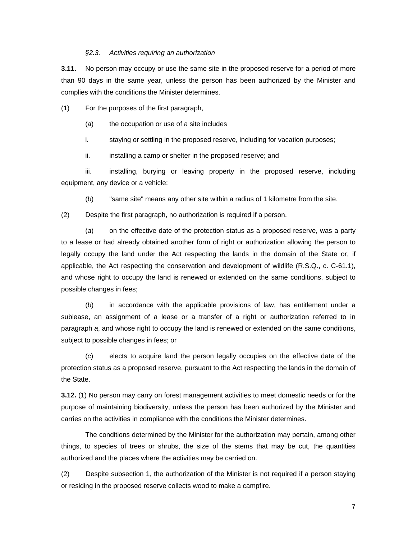#### *§2.3. Activities requiring an authorization*

**3.11.** No person may occupy or use the same site in the proposed reserve for a period of more than 90 days in the same year, unless the person has been authorized by the Minister and complies with the conditions the Minister determines.

(1) For the purposes of the first paragraph,

(*a*) the occupation or use of a site includes

i. staying or settling in the proposed reserve, including for vacation purposes;

ii. installing a camp or shelter in the proposed reserve; and

iii. installing, burying or leaving property in the proposed reserve, including equipment, any device or a vehicle;

(*b*) "same site" means any other site within a radius of 1 kilometre from the site.

(2) Despite the first paragraph, no authorization is required if a person,

(*a*) on the effective date of the protection status as a proposed reserve, was a party to a lease or had already obtained another form of right or authorization allowing the person to legally occupy the land under the Act respecting the lands in the domain of the State or, if applicable, the Act respecting the conservation and development of wildlife (R.S.Q., c. C-61.1), and whose right to occupy the land is renewed or extended on the same conditions, subject to possible changes in fees;

(*b*) in accordance with the applicable provisions of law, has entitlement under a sublease, an assignment of a lease or a transfer of a right or authorization referred to in paragraph *a*, and whose right to occupy the land is renewed or extended on the same conditions, subject to possible changes in fees; or

(*c*) elects to acquire land the person legally occupies on the effective date of the protection status as a proposed reserve, pursuant to the Act respecting the lands in the domain of the State.

**3.12.** (1) No person may carry on forest management activities to meet domestic needs or for the purpose of maintaining biodiversity, unless the person has been authorized by the Minister and carries on the activities in compliance with the conditions the Minister determines.

The conditions determined by the Minister for the authorization may pertain, among other things, to species of trees or shrubs, the size of the stems that may be cut, the quantities authorized and the places where the activities may be carried on.

(2) Despite subsection 1, the authorization of the Minister is not required if a person staying or residing in the proposed reserve collects wood to make a campfire.

7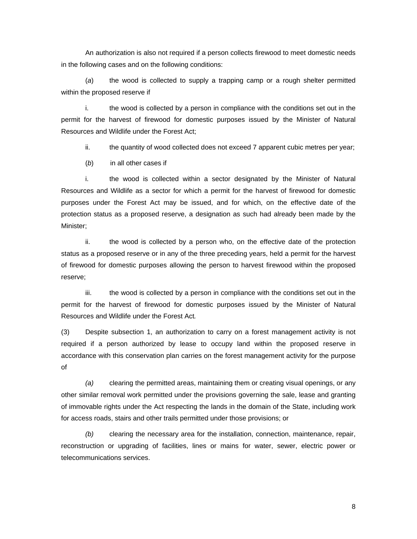An authorization is also not required if a person collects firewood to meet domestic needs in the following cases and on the following conditions:

(*a*) the wood is collected to supply a trapping camp or a rough shelter permitted within the proposed reserve if

i. the wood is collected by a person in compliance with the conditions set out in the permit for the harvest of firewood for domestic purposes issued by the Minister of Natural Resources and Wildlife under the Forest Act;

ii. the quantity of wood collected does not exceed 7 apparent cubic metres per year;

(*b*) in all other cases if

i. the wood is collected within a sector designated by the Minister of Natural Resources and Wildlife as a sector for which a permit for the harvest of firewood for domestic purposes under the Forest Act may be issued, and for which, on the effective date of the protection status as a proposed reserve, a designation as such had already been made by the Minister;

 ii. the wood is collected by a person who, on the effective date of the protection status as a proposed reserve or in any of the three preceding years, held a permit for the harvest of firewood for domestic purposes allowing the person to harvest firewood within the proposed reserve;

 iii. the wood is collected by a person in compliance with the conditions set out in the permit for the harvest of firewood for domestic purposes issued by the Minister of Natural Resources and Wildlife under the Forest Act*.* 

(3) Despite subsection 1, an authorization to carry on a forest management activity is not required if a person authorized by lease to occupy land within the proposed reserve in accordance with this conservation plan carries on the forest management activity for the purpose of

*(a)* clearing the permitted areas, maintaining them or creating visual openings, or any other similar removal work permitted under the provisions governing the sale, lease and granting of immovable rights under the Act respecting the lands in the domain of the State, including work for access roads, stairs and other trails permitted under those provisions; or

*(b)* clearing the necessary area for the installation, connection, maintenance, repair, reconstruction or upgrading of facilities, lines or mains for water, sewer, electric power or telecommunications services.

8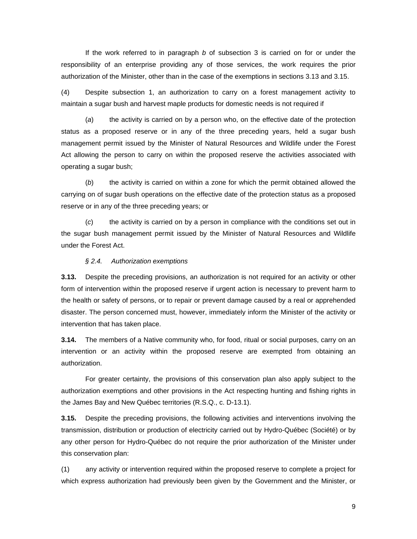If the work referred to in paragraph *b* of subsection 3 is carried on for or under the responsibility of an enterprise providing any of those services, the work requires the prior authorization of the Minister, other than in the case of the exemptions in sections 3.13 and 3.15.

(4) Despite subsection 1, an authorization to carry on a forest management activity to maintain a sugar bush and harvest maple products for domestic needs is not required if

(*a*) the activity is carried on by a person who, on the effective date of the protection status as a proposed reserve or in any of the three preceding years, held a sugar bush management permit issued by the Minister of Natural Resources and Wildlife under the Forest Act allowing the person to carry on within the proposed reserve the activities associated with operating a sugar bush;

(*b*) the activity is carried on within a zone for which the permit obtained allowed the carrying on of sugar bush operations on the effective date of the protection status as a proposed reserve or in any of the three preceding years; or

(*c*) the activity is carried on by a person in compliance with the conditions set out in the sugar bush management permit issued by the Minister of Natural Resources and Wildlife under the Forest Act.

#### *§ 2.4. Authorization exemptions*

**3.13.** Despite the preceding provisions, an authorization is not required for an activity or other form of intervention within the proposed reserve if urgent action is necessary to prevent harm to the health or safety of persons, or to repair or prevent damage caused by a real or apprehended disaster. The person concerned must, however, immediately inform the Minister of the activity or intervention that has taken place.

**3.14.** The members of a Native community who, for food, ritual or social purposes, carry on an intervention or an activity within the proposed reserve are exempted from obtaining an authorization.

For greater certainty, the provisions of this conservation plan also apply subject to the authorization exemptions and other provisions in the Act respecting hunting and fishing rights in the James Bay and New Québec territories (R.S.Q., c. D-13.1).

**3.15.** Despite the preceding provisions, the following activities and interventions involving the transmission, distribution or production of electricity carried out by Hydro-Québec (Société) or by any other person for Hydro-Québec do not require the prior authorization of the Minister under this conservation plan:

(1) any activity or intervention required within the proposed reserve to complete a project for which express authorization had previously been given by the Government and the Minister, or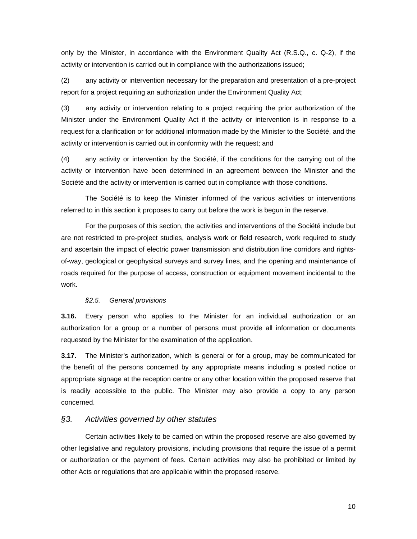only by the Minister, in accordance with the Environment Quality Act (R.S.Q., c. Q-2), if the activity or intervention is carried out in compliance with the authorizations issued;

(2) any activity or intervention necessary for the preparation and presentation of a pre-project report for a project requiring an authorization under the Environment Quality Act;

(3) any activity or intervention relating to a project requiring the prior authorization of the Minister under the Environment Quality Act if the activity or intervention is in response to a request for a clarification or for additional information made by the Minister to the Société, and the activity or intervention is carried out in conformity with the request; and

(4) any activity or intervention by the Société, if the conditions for the carrying out of the activity or intervention have been determined in an agreement between the Minister and the Société and the activity or intervention is carried out in compliance with those conditions.

The Société is to keep the Minister informed of the various activities or interventions referred to in this section it proposes to carry out before the work is begun in the reserve.

For the purposes of this section, the activities and interventions of the Société include but are not restricted to pre-project studies, analysis work or field research, work required to study and ascertain the impact of electric power transmission and distribution line corridors and rightsof-way, geological or geophysical surveys and survey lines, and the opening and maintenance of roads required for the purpose of access, construction or equipment movement incidental to the work.

#### *§2.5. General provisions*

**3.16.** Every person who applies to the Minister for an individual authorization or an authorization for a group or a number of persons must provide all information or documents requested by the Minister for the examination of the application.

**3.17.** The Minister's authorization, which is general or for a group, may be communicated for the benefit of the persons concerned by any appropriate means including a posted notice or appropriate signage at the reception centre or any other location within the proposed reserve that is readily accessible to the public. The Minister may also provide a copy to any person concerned.

#### *§3. Activities governed by other statutes*

Certain activities likely to be carried on within the proposed reserve are also governed by other legislative and regulatory provisions, including provisions that require the issue of a permit or authorization or the payment of fees. Certain activities may also be prohibited or limited by other Acts or regulations that are applicable within the proposed reserve.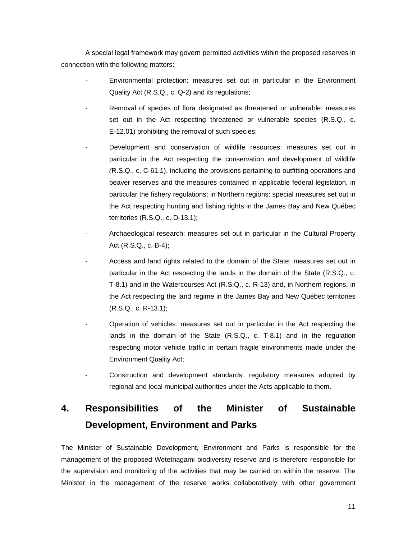A special legal framework may govern permitted activities within the proposed reserves in connection with the following matters:

- Environmental protection: measures set out in particular in the Environment Quality Act (R.S.Q., c. Q-2) and its regulations;
- *-* Removal of species of flora designated as threatened or vulnerable: measures set out in the Act respecting threatened or vulnerable species (R.S.Q., c. E-12.01) prohibiting the removal of such species;
- *-* Development and conservation of wildlife resources: measures set out in particular in the Act respecting the conservation and development of wildlife *(*R.S.Q., c. C-61.1), including the provisions pertaining to outfitting operations and beaver reserves and the measures contained in applicable federal legislation, in particular the fishery regulations; in Northern regions: special measures set out in the Act respecting hunting and fishing rights in the James Bay and New Québec territories (R.S.Q., c. D-13.1);
- Archaeological research: measures set out in particular in the Cultural Property Act (R.S.Q., c. B-4);
- *-* Access and land rights related to the domain of the State: measures set out in particular in the Act respecting the lands in the domain of the State (R.S.Q., c. T-8.1) and in the Watercourses Act (R.S.Q., c. R-13) and, in Northern regions, in the Act respecting the land regime in the James Bay and New Québec territories (R.S.Q., c. R-13.1);
- Operation of vehicles*:* measures set out in particular in the Act respecting the lands in the domain of the State (R.S.Q., c. T-8.1) and in the regulation respecting motor vehicle traffic in certain fragile environments made under the Environment Quality Act;
- Construction and development standards: regulatory measures adopted by regional and local municipal authorities under the Acts applicable to them.

# **4. Responsibilities of the Minister of Sustainable Development, Environment and Parks**

The Minister of Sustainable Development, Environment and Parks is responsible for the management of the proposed Wetetnagami biodiversity reserve and is therefore responsible for the supervision and monitoring of the activities that may be carried on within the reserve. The Minister in the management of the reserve works collaboratively with other government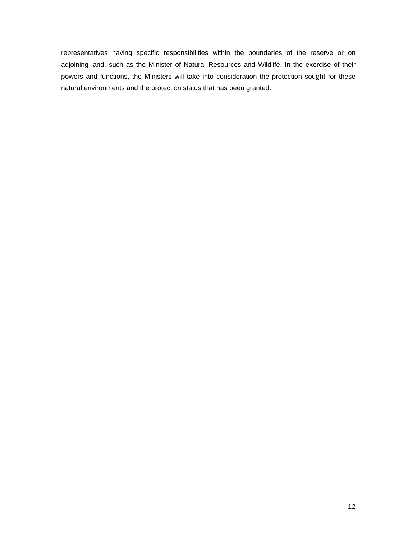representatives having specific responsibilities within the boundaries of the reserve or on adjoining land, such as the Minister of Natural Resources and Wildlife. In the exercise of their powers and functions, the Ministers will take into consideration the protection sought for these natural environments and the protection status that has been granted.